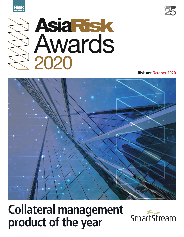





**Risk.net October 2020**



## **Collateral management product of the year**